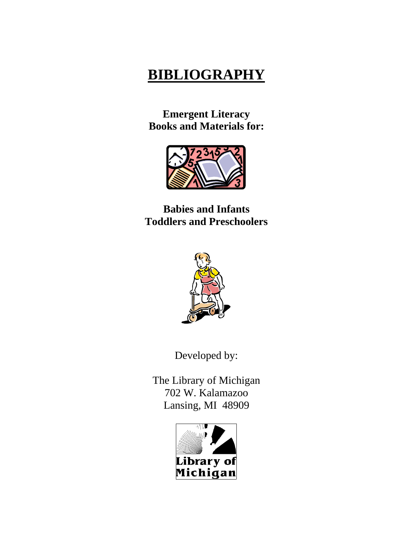# **BIBLIOGRAPHY**

**Emergent Literacy Books and Materials for:**



**Babies and Infants Toddlers and Preschoolers**



Developed by:

The Library of Michigan 702 W. Kalamazoo Lansing, MI 48909

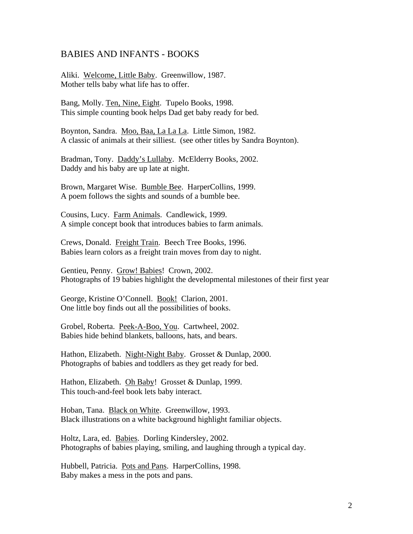## BABIES AND INFANTS - BOOKS

Aliki. Welcome, Little Baby. Greenwillow, 1987. Mother tells baby what life has to offer.

Bang, Molly. Ten, Nine, Eight. Tupelo Books, 1998. This simple counting book helps Dad get baby ready for bed.

Boynton, Sandra. Moo, Baa, La La La. Little Simon, 1982. A classic of animals at their silliest. (see other titles by Sandra Boynton).

Bradman, Tony. Daddy's Lullaby. McElderry Books, 2002. Daddy and his baby are up late at night.

Brown, Margaret Wise. Bumble Bee. HarperCollins, 1999. A poem follows the sights and sounds of a bumble bee.

Cousins, Lucy. Farm Animals. Candlewick, 1999. A simple concept book that introduces babies to farm animals.

Crews, Donald. Freight Train. Beech Tree Books, 1996. Babies learn colors as a freight train moves from day to night.

Gentieu, Penny. Grow! Babies! Crown, 2002. Photographs of 19 babies highlight the developmental milestones of their first year

George, Kristine O'Connell. Book! Clarion, 2001. One little boy finds out all the possibilities of books.

Grobel, Roberta. Peek-A-Boo, You. Cartwheel, 2002. Babies hide behind blankets, balloons, hats, and bears.

Hathon, Elizabeth. Night-Night Baby. Grosset & Dunlap, 2000. Photographs of babies and toddlers as they get ready for bed.

Hathon, Elizabeth. Oh Baby! Grosset & Dunlap, 1999. This touch-and-feel book lets baby interact.

Hoban, Tana. Black on White. Greenwillow, 1993. Black illustrations on a white background highlight familiar objects.

Holtz, Lara, ed. Babies. Dorling Kindersley, 2002. Photographs of babies playing, smiling, and laughing through a typical day.

Hubbell, Patricia. Pots and Pans. HarperCollins, 1998. Baby makes a mess in the pots and pans.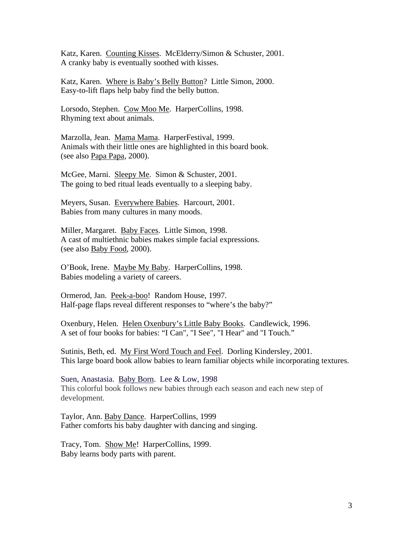Katz, Karen. Counting Kisses. McElderry/Simon & Schuster, 2001. A cranky baby is eventually soothed with kisses.

Katz, Karen. Where is Baby's Belly Button? Little Simon, 2000. Easy-to-lift flaps help baby find the belly button.

Lorsodo, Stephen. Cow Moo Me. HarperCollins, 1998. Rhyming text about animals.

Marzolla, Jean. Mama Mama. HarperFestival, 1999. Animals with their little ones are highlighted in this board book. (see also Papa Papa, 2000).

McGee, Marni. Sleepy Me. Simon & Schuster, 2001. The going to bed ritual leads eventually to a sleeping baby.

Meyers, Susan. Everywhere Babies. Harcourt, 2001. Babies from many cultures in many moods.

Miller, Margaret. Baby Faces. Little Simon, 1998. A cast of multiethnic babies makes simple facial expressions. (see also Baby Food, 2000).

O'Book, Irene. Maybe My Baby. HarperCollins, 1998. Babies modeling a variety of careers.

Ormerod, Jan. Peek-a-boo! Random House, 1997. Half-page flaps reveal different responses to "where's the baby?"

Oxenbury, Helen. Helen Oxenbury's Little Baby Books. Candlewick, 1996. A set of four books for babies: "I Can", "I See", "I Hear" and "I Touch."

Sutinis, Beth, ed. My First Word Touch and Feel. Dorling Kindersley, 2001. This large board book allow babies to learn familiar objects while incorporating textures.

Suen, Anastasia. Baby Born. Lee & Low, 1998 This colorful book follows new babies through each season and each new step of development.

Taylor, Ann. Baby Dance. HarperCollins, 1999 Father comforts his baby daughter with dancing and singing.

Tracy, Tom. Show Me! HarperCollins, 1999. Baby learns body parts with parent.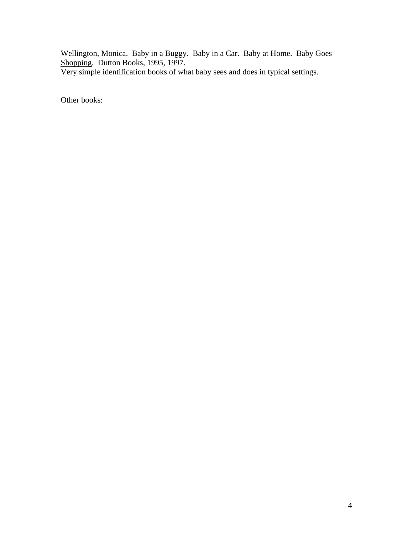Wellington, Monica. Baby in a Buggy. Baby in a Car. Baby at Home. Baby Goes Shopping. Dutton Books, 1995, 1997. Very simple identification books of what baby sees and does in typical settings.

Other books: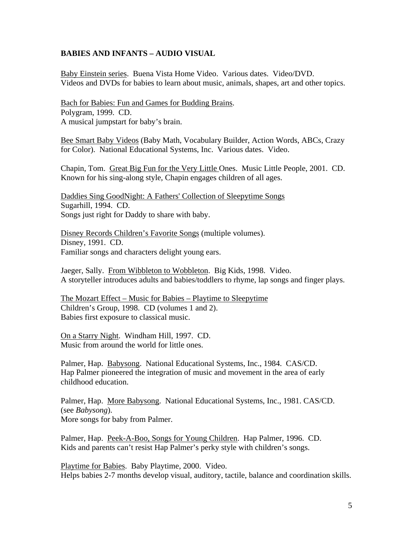#### **BABIES AND INFANTS – AUDIO VISUAL**

Baby Einstein series. Buena Vista Home Video. Various dates. Video/DVD. Videos and DVDs for babies to learn about music, animals, shapes, art and other topics.

Bach for Babies: Fun and Games for Budding Brains. Polygram, 1999. CD. A musical jumpstart for baby's brain.

Bee Smart Baby Videos (Baby Math, Vocabulary Builder, Action Words, ABCs, Crazy for Color). National Educational Systems, Inc. Various dates. Video.

Chapin, Tom. Great Big Fun for the Very Little Ones. Music Little People, 2001. CD. Known for his sing-along style, Chapin engages children of all ages.

Daddies Sing GoodNight: A Fathers' Collection of Sleepytime Songs Sugarhill, 1994. CD. Songs just right for Daddy to share with baby.

Disney Records Children's Favorite Songs (multiple volumes). Disney, 1991. CD. Familiar songs and characters delight young ears.

Jaeger, Sally. From Wibbleton to Wobbleton. Big Kids, 1998. Video. A storyteller introduces adults and babies/toddlers to rhyme, lap songs and finger plays.

The Mozart Effect – Music for Babies – Playtime to Sleepytime Children's Group, 1998. CD (volumes 1 and 2). Babies first exposure to classical music.

On a Starry Night. Windham Hill, 1997. CD. Music from around the world for little ones.

Palmer, Hap. Babysong. National Educational Systems, Inc., 1984. CAS/CD. Hap Palmer pioneered the integration of music and movement in the area of early childhood education.

Palmer, Hap. More Babysong. National Educational Systems, Inc., 1981. CAS/CD. (see *Babysong*). More songs for baby from Palmer.

Palmer, Hap. Peek-A-Boo, Songs for Young Children. Hap Palmer, 1996. CD. Kids and parents can't resist Hap Palmer's perky style with children's songs.

Playtime for Babies. Baby Playtime, 2000. Video. Helps babies 2-7 months develop visual, auditory, tactile, balance and coordination skills.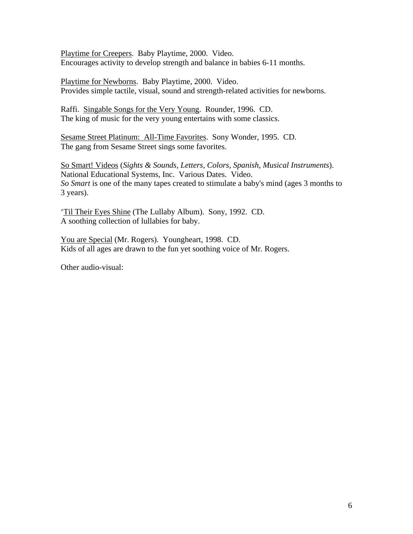Playtime for Creepers. Baby Playtime, 2000. Video. Encourages activity to develop strength and balance in babies 6-11 months.

Playtime for Newborns. Baby Playtime, 2000. Video. Provides simple tactile, visual, sound and strength-related activities for newborns.

Raffi. Singable Songs for the Very Young. Rounder, 1996. CD. The king of music for the very young entertains with some classics.

Sesame Street Platinum: All-Time Favorites. Sony Wonder, 1995. CD. The gang from Sesame Street sings some favorites.

So Smart! Videos (*Sights & Sounds, Letters, Colors, Spanish, Musical Instruments*). National Educational Systems, Inc. Various Dates. Video. *So Smart* is one of the many tapes created to stimulate a baby's mind (ages 3 months to 3 years).

'Til Their Eyes Shine (The Lullaby Album). Sony, 1992. CD. A soothing collection of lullabies for baby.

You are Special (Mr. Rogers). Youngheart, 1998. CD. Kids of all ages are drawn to the fun yet soothing voice of Mr. Rogers.

Other audio-visual: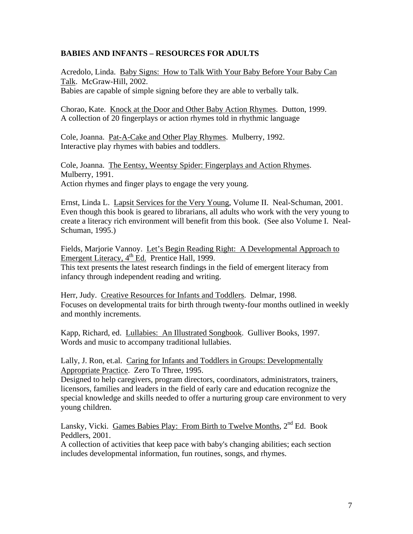# **BABIES AND INFANTS – RESOURCES FOR ADULTS**

Acredolo, Linda. Baby Signs: How to Talk With Your Baby Before Your Baby Can Talk. McGraw-Hill, 2002.

Babies are capable of simple signing before they are able to verbally talk.

Chorao, Kate. Knock at the Door and Other Baby Action Rhymes. Dutton, 1999. A collection of 20 fingerplays or action rhymes told in rhythmic language

Cole, Joanna. Pat-A-Cake and Other Play Rhymes. Mulberry, 1992. Interactive play rhymes with babies and toddlers.

Cole, Joanna. The Eentsy, Weentsy Spider: Fingerplays and Action Rhymes. Mulberry, 1991. Action rhymes and finger plays to engage the very young.

Ernst, Linda L. Lapsit Services for the Very Young, Volume II. Neal-Schuman, 2001. Even though this book is geared to librarians, all adults who work with the very young to create a literacy rich environment will benefit from this book. (See also Volume I. Neal-Schuman, 1995.)

Fields, Marjorie Vannoy. Let's Begin Reading Right: A Developmental Approach to Emergent Literacy,  $4<sup>th</sup>$  Ed. Prentice Hall, 1999.

This text presents the latest research findings in the field of emergent literacy from infancy through independent reading and writing.

Herr, Judy. Creative Resources for Infants and Toddlers. Delmar, 1998. Focuses on developmental traits for birth through twenty-four months outlined in weekly and monthly increments.

Kapp, Richard, ed. Lullabies: An Illustrated Songbook. Gulliver Books, 1997. Words and music to accompany traditional lullabies.

Lally, J. Ron, et.al. Caring for Infants and Toddlers in Groups: Developmentally Appropriate Practice. Zero To Three, 1995.

Designed to help caregivers, program directors, coordinators, administrators, trainers, licensors, families and leaders in the field of early care and education recognize the special knowledge and skills needed to offer a nurturing group care environment to very young children.

Lansky, Vicki. Games Babies Play: From Birth to Twelve Months, 2<sup>nd</sup> Ed. Book Peddlers, 2001.

A collection of activities that keep pace with baby's changing abilities; each section includes developmental information, fun routines, songs, and rhymes.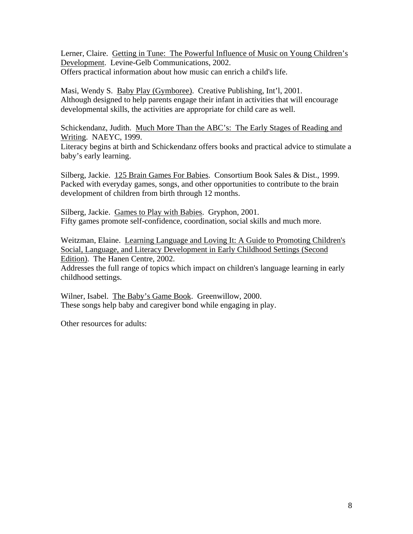Lerner, Claire. Getting in Tune: The Powerful Influence of Music on Young Children's Development. Levine-Gelb Communications, 2002. Offers practical information about how music can enrich a child's life.

Masi, Wendy S. Baby Play (Gymboree). Creative Publishing, Int'l, 2001. Although designed to help parents engage their infant in activities that will encourage developmental skills, the activities are appropriate for child care as well.

Schickendanz, Judith. Much More Than the ABC's: The Early Stages of Reading and Writing. NAEYC, 1999.

Literacy begins at birth and Schickendanz offers books and practical advice to stimulate a baby's early learning.

Silberg, Jackie. 125 Brain Games For Babies. Consortium Book Sales & Dist., 1999. Packed with everyday games, songs, and other opportunities to contribute to the brain development of children from birth through 12 months.

Silberg, Jackie. Games to Play with Babies. Gryphon, 2001. Fifty games promote self-confidence, coordination, social skills and much more.

Weitzman, Elaine. Learning Language and Loving It: A Guide to Promoting Children's Social, Language, and Literacy Development in Early Childhood Settings (Second Edition). The Hanen Centre, 2002.

Addresses the full range of topics which impact on children's language learning in early childhood settings.

Wilner, Isabel. The Baby's Game Book. Greenwillow, 2000. These songs help baby and caregiver bond while engaging in play.

Other resources for adults: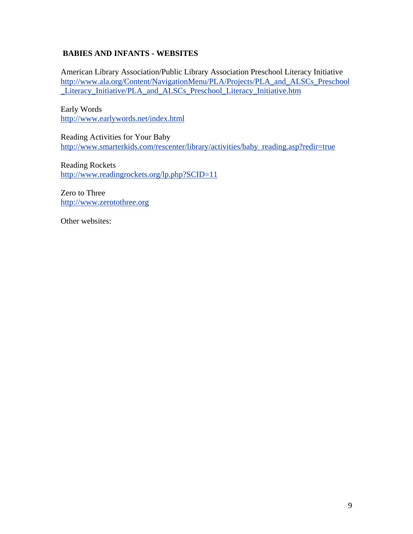# **BABIES AND INFANTS - WEBSITES**

American Library Association/Public Library Association Preschool Literacy Initiative http://www.ala.org/Content/NavigationMenu/PLA/Projects/PLA\_and\_ALSCs\_Preschool \_Literacy\_Initiative/PLA\_and\_ALSCs\_Preschool\_Literacy\_Initiative.htm

Early Words http://www.earlywords.net/index.html

Reading Activities for Your Baby http://www.smarterkids.com/rescenter/library/activities/baby\_reading.asp?redir=true

Reading Rockets http://www.readingrockets.org/lp.php?SCID=11

Zero to Three http://www.zerotothree.org

Other websites: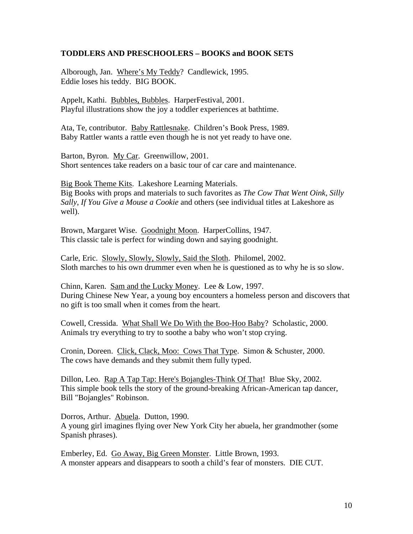#### **TODDLERS AND PRESCHOOLERS – BOOKS and BOOK SETS**

Alborough, Jan. Where's My Teddy? Candlewick, 1995. Eddie loses his teddy. BIG BOOK.

Appelt, Kathi. Bubbles, Bubbles. HarperFestival, 2001. Playful illustrations show the joy a toddler experiences at bathtime.

Ata, Te, contributor. Baby Rattlesnake. Children's Book Press, 1989. Baby Rattler wants a rattle even though he is not yet ready to have one.

Barton, Byron. My Car. Greenwillow, 2001. Short sentences take readers on a basic tour of car care and maintenance.

Big Book Theme Kits. Lakeshore Learning Materials. Big Books with props and materials to such favorites as *The Cow That Went Oink*, *Silly Sally*, *If You Give a Mouse a Cookie* and others (see individual titles at Lakeshore as well).

Brown, Margaret Wise. Goodnight Moon. HarperCollins, 1947. This classic tale is perfect for winding down and saying goodnight.

Carle, Eric. Slowly, Slowly, Slowly, Said the Sloth. Philomel, 2002. Sloth marches to his own drummer even when he is questioned as to why he is so slow.

Chinn, Karen. Sam and the Lucky Money. Lee & Low, 1997. During Chinese New Year, a young boy encounters a homeless person and discovers that no gift is too small when it comes from the heart.

Cowell, Cressida. What Shall We Do With the Boo-Hoo Baby? Scholastic, 2000. Animals try everything to try to soothe a baby who won't stop crying.

Cronin, Doreen. Click, Clack, Moo: Cows That Type. Simon & Schuster, 2000. The cows have demands and they submit them fully typed.

Dillon, Leo. Rap A Tap Tap: Here's Bojangles-Think Of That! Blue Sky, 2002. This simple book tells the story of the ground-breaking African-American tap dancer, Bill "Bojangles" Robinson.

Dorros, Arthur. Abuela. Dutton, 1990. A young girl imagines flying over New York City her abuela, her grandmother (some Spanish phrases).

Emberley, Ed. Go Away, Big Green Monster. Little Brown, 1993. A monster appears and disappears to sooth a child's fear of monsters. DIE CUT.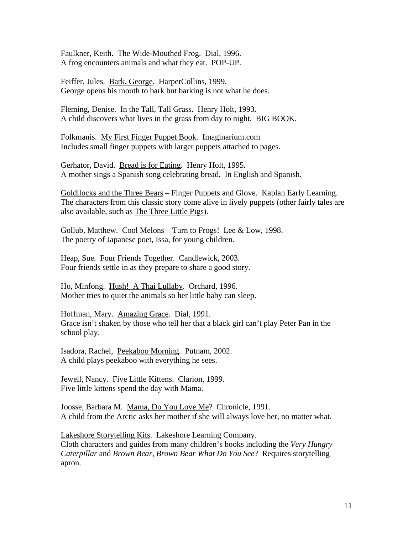Faulkner, Keith. The Wide-Mouthed Frog. Dial, 1996. A frog encounters animals and what they eat. POP-UP.

Feiffer, Jules. Bark, George. HarperCollins, 1999. George opens his mouth to bark but barking is not what he does.

Fleming, Denise. In the Tall, Tall Grass. Henry Holt, 1993. A child discovers what lives in the grass from day to night. BIG BOOK.

Folkmanis. My First Finger Puppet Book. Imaginarium.com Includes small finger puppets with larger puppets attached to pages.

Gerhator, David. Bread is for Eating. Henry Holt, 1995. A mother sings a Spanish song celebrating bread. In English and Spanish.

Goldilocks and the Three Bears – Finger Puppets and Glove. Kaplan Early Learning. The characters from this classic story come alive in lively puppets (other fairly tales are also available, such as The Three Little Pigs).

Gollub, Matthew. Cool Melons – Turn to Frogs! Lee & Low, 1998. The poetry of Japanese poet, Issa, for young children.

Heap, Sue. Four Friends Together. Candlewick, 2003. Four friends settle in as they prepare to share a good story.

Ho, Minfong. Hush! A Thai Lullaby. Orchard, 1996. Mother tries to quiet the animals so her little baby can sleep.

Hoffman, Mary. Amazing Grace. Dial, 1991. Grace isn't shaken by those who tell her that a black girl can't play Peter Pan in the school play.

Isadora, Rachel, Peekaboo Morning. Putnam, 2002. A child plays peekaboo with everything he sees.

Jewell, Nancy. Five Little Kittens. Clarion, 1999. Five little kittens spend the day with Mama.

Joosse, Barbara M. Mama, Do You Love Me? Chronicle, 1991. A child from the Arctic asks her mother if she will always love her, no matter what.

Lakeshore Storytelling Kits. Lakeshore Learning Company. Cloth characters and guides from many children's books including the *Very Hungry Caterpillar* and *Brown Bear, Brown Bear What Do You See*? Requires storytelling apron.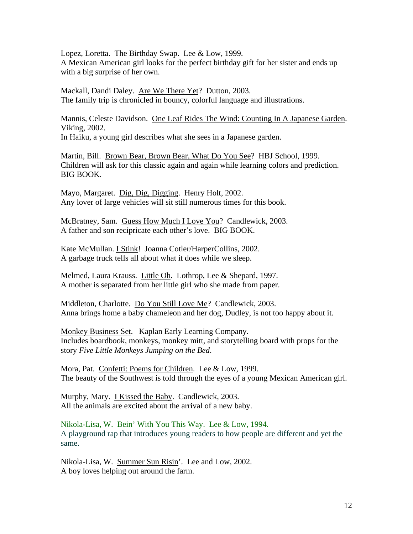Lopez, Loretta. The Birthday Swap. Lee & Low, 1999. A Mexican American girl looks for the perfect birthday gift for her sister and ends up with a big surprise of her own.

Mackall, Dandi Daley. Are We There Yet? Dutton, 2003. The family trip is chronicled in bouncy, colorful language and illustrations.

Mannis, Celeste Davidson. One Leaf Rides The Wind: Counting In A Japanese Garden. Viking, 2002.

In Haiku, a young girl describes what she sees in a Japanese garden.

Martin, Bill. Brown Bear, Brown Bear, What Do You See? HBJ School, 1999. Children will ask for this classic again and again while learning colors and prediction. BIG BOOK.

Mayo, Margaret. Dig, Dig, Digging. Henry Holt, 2002. Any lover of large vehicles will sit still numerous times for this book.

McBratney, Sam. Guess How Much I Love You? Candlewick, 2003. A father and son recipricate each other's love. BIG BOOK.

Kate McMullan. I Stink!Joanna Cotler/HarperCollins, 2002. A garbage truck tells all about what it does while we sleep.

Melmed, Laura Krauss. Little Oh. Lothrop, Lee & Shepard, 1997. A mother is separated from her little girl who she made from paper.

Middleton, Charlotte. Do You Still Love Me? Candlewick, 2003. Anna brings home a baby chameleon and her dog, Dudley, is not too happy about it.

Monkey Business Set. Kaplan Early Learning Company. Includes boardbook, monkeys, monkey mitt, and storytelling board with props for the story *Five Little Monkeys Jumping on the Bed*.

Mora, Pat. Confetti: Poems for Children. Lee & Low, 1999. The beauty of the Southwest is told through the eyes of a young Mexican American girl.

Murphy, Mary. I Kissed the Baby. Candlewick, 2003. All the animals are excited about the arrival of a new baby.

Nikola-Lisa, W. Bein' With You This Way. Lee & Low, 1994. A playground rap that introduces young readers to how people are different and yet the same.

Nikola-Lisa, W. Summer Sun Risin'. Lee and Low, 2002. A boy loves helping out around the farm.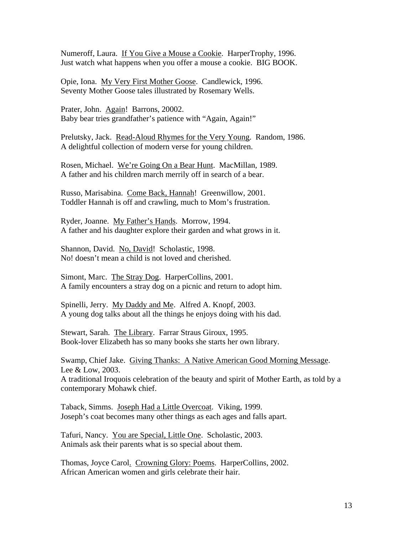Numeroff, Laura. If You Give a Mouse a Cookie. HarperTrophy, 1996. Just watch what happens when you offer a mouse a cookie. BIG BOOK.

Opie, Iona. My Very First Mother Goose. Candlewick, 1996. Seventy Mother Goose tales illustrated by Rosemary Wells.

Prater, John. Again! Barrons, 20002. Baby bear tries grandfather's patience with "Again, Again!"

Prelutsky, Jack. Read-Aloud Rhymes for the Very Young. Random, 1986. A delightful collection of modern verse for young children.

Rosen, Michael. We're Going On a Bear Hunt. MacMillan, 1989. A father and his children march merrily off in search of a bear.

Russo, Marisabina. Come Back, Hannah! Greenwillow, 2001. Toddler Hannah is off and crawling, much to Mom's frustration.

Ryder, Joanne. My Father's Hands. Morrow, 1994. A father and his daughter explore their garden and what grows in it.

Shannon, David. No, David! Scholastic, 1998. No! doesn't mean a child is not loved and cherished.

Simont, Marc. The Stray Dog. HarperCollins, 2001. A family encounters a stray dog on a picnic and return to adopt him.

Spinelli, Jerry. My Daddy and Me. Alfred A. Knopf, 2003. A young dog talks about all the things he enjoys doing with his dad.

Stewart, Sarah. The Library. Farrar Straus Giroux, 1995. Book-lover Elizabeth has so many books she starts her own library.

Swamp, Chief Jake. Giving Thanks: A Native American Good Morning Message. Lee & Low, 2003.

A traditional Iroquois celebration of the beauty and spirit of Mother Earth, as told by a contemporary Mohawk chief.

Taback, Simms. Joseph Had a Little Overcoat. Viking, 1999. Joseph's coat becomes many other things as each ages and falls apart.

Tafuri, Nancy. You are Special, Little One. Scholastic, 2003. Animals ask their parents what is so special about them.

Thomas, Joyce Carol. Crowning Glory: Poems. HarperCollins, 2002. African American women and girls celebrate their hair.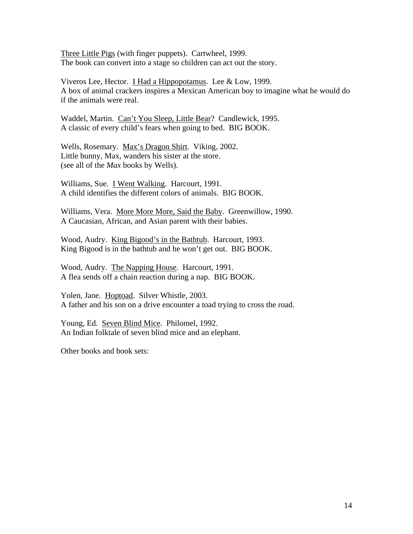Three Little Pigs (with finger puppets). Cartwheel, 1999. The book can convert into a stage so children can act out the story.

Viveros Lee, Hector. I Had a Hippopotamus. Lee & Low, 1999. A box of animal crackers inspires a Mexican American boy to imagine what he would do if the animals were real.

Waddel, Martin. Can't You Sleep, Little Bear? Candlewick, 1995. A classic of every child's fears when going to bed. BIG BOOK.

Wells, Rosemary. Max's Dragon Shirt. Viking, 2002. Little bunny, Max, wanders his sister at the store. (see all of the *Max* books by Wells).

Williams, Sue. I Went Walking. Harcourt, 1991. A child identifies the different colors of animals. BIG BOOK.

Williams, Vera. More More More, Said the Baby. Greenwillow, 1990. A Caucasian, African, and Asian parent with their babies.

Wood, Audry. King Bigood's in the Bathtub. Harcourt, 1993. King Bigood is in the bathtub and he won't get out. BIG BOOK.

Wood, Audry. The Napping House. Harcourt, 1991. A flea sends off a chain reaction during a nap. BIG BOOK.

Yolen, Jane. Hoptoad. Silver Whistle, 2003. A father and his son on a drive encounter a toad trying to cross the road.

Young, Ed. Seven Blind Mice. Philomel, 1992. An Indian folktale of seven blind mice and an elephant.

Other books and book sets: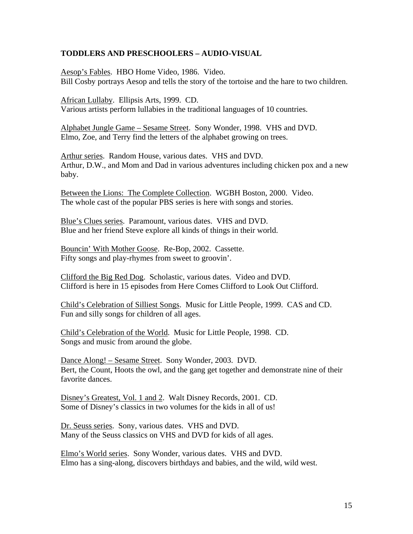#### **TODDLERS AND PRESCHOOLERS – AUDIO-VISUAL**

Aesop's Fables. HBO Home Video, 1986. Video. Bill Cosby portrays Aesop and tells the story of the tortoise and the hare to two children.

African Lullaby. Ellipsis Arts, 1999. CD. Various artists perform lullabies in the traditional languages of 10 countries.

Alphabet Jungle Game – Sesame Street. Sony Wonder, 1998. VHS and DVD. Elmo, Zoe, and Terry find the letters of the alphabet growing on trees.

Arthur series. Random House, various dates. VHS and DVD. Arthur, D.W., and Mom and Dad in various adventures including chicken pox and a new baby.

Between the Lions: The Complete Collection. WGBH Boston, 2000. Video. The whole cast of the popular PBS series is here with songs and stories.

Blue's Clues series. Paramount, various dates. VHS and DVD. Blue and her friend Steve explore all kinds of things in their world.

Bouncin' With Mother Goose. Re-Bop, 2002. Cassette. Fifty songs and play-rhymes from sweet to groovin'.

Clifford the Big Red Dog. Scholastic, various dates. Video and DVD. Clifford is here in 15 episodes from Here Comes Clifford to Look Out Clifford.

Child's Celebration of Silliest Songs. Music for Little People, 1999. CAS and CD. Fun and silly songs for children of all ages.

Child's Celebration of the World. Music for Little People, 1998. CD. Songs and music from around the globe.

Dance Along! – Sesame Street. Sony Wonder, 2003. DVD. Bert, the Count, Hoots the owl, and the gang get together and demonstrate nine of their favorite dances.

Disney's Greatest, Vol. 1 and 2. Walt Disney Records, 2001. CD. Some of Disney's classics in two volumes for the kids in all of us!

Dr. Seuss series. Sony, various dates. VHS and DVD. Many of the Seuss classics on VHS and DVD for kids of all ages.

Elmo's World series. Sony Wonder, various dates. VHS and DVD. Elmo has a sing-along, discovers birthdays and babies, and the wild, wild west.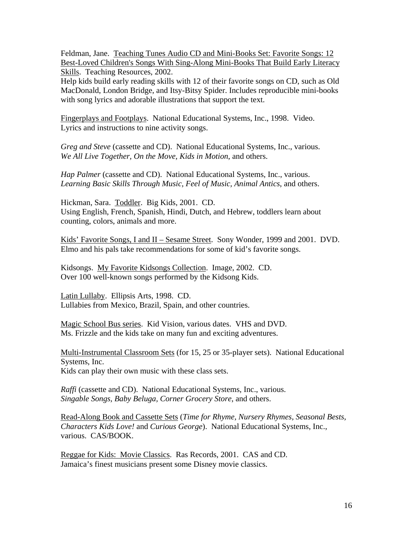Feldman, Jane. Teaching Tunes Audio CD and Mini-Books Set: Favorite Songs: 12 Best-Loved Children's Songs With Sing-Along Mini-Books That Build Early Literacy Skills. Teaching Resources, 2002.

Help kids build early reading skills with 12 of their favorite songs on CD, such as Old MacDonald, London Bridge, and Itsy-Bitsy Spider. Includes reproducible mini-books with song lyrics and adorable illustrations that support the text.

Fingerplays and Footplays. National Educational Systems, Inc., 1998. Video. Lyrics and instructions to nine activity songs.

*Greg and Steve* (cassette and CD). National Educational Systems, Inc., various. *We All Live Together, On the Move, Kids in Motion*, and others.

*Hap Palmer* (cassette and CD). National Educational Systems, Inc., various. *Learning Basic Skills Through Music, Feel of Music, Animal Antics*, and others.

Hickman, Sara. Toddler. Big Kids, 2001. CD. Using English, French, Spanish, Hindi, Dutch, and Hebrew, toddlers learn about counting, colors, animals and more.

Kids' Favorite Songs, I and II – Sesame Street. Sony Wonder, 1999 and 2001. DVD. Elmo and his pals take recommendations for some of kid's favorite songs.

Kidsongs. My Favorite Kidsongs Collection. Image, 2002. CD. Over 100 well-known songs performed by the Kidsong Kids.

Latin Lullaby. Ellipsis Arts, 1998. CD. Lullabies from Mexico, Brazil, Spain, and other countries.

Magic School Bus series. Kid Vision, various dates. VHS and DVD. Ms. Frizzle and the kids take on many fun and exciting adventures.

Multi-Instrumental Classroom Sets (for 15, 25 or 35-player sets). National Educational Systems, Inc. Kids can play their own music with these class sets.

*Raffi* (cassette and CD). National Educational Systems, Inc., various. *Singable Songs, Baby Beluga, Corner Grocery Store*, and others.

Read-Along Book and Cassette Sets (*Time for Rhyme, Nursery Rhymes, Seasonal Bests, Characters Kids Love!* and *Curious George*). National Educational Systems, Inc., various. CAS/BOOK.

Reggae for Kids: Movie Classics. Ras Records, 2001. CAS and CD. Jamaica's finest musicians present some Disney movie classics.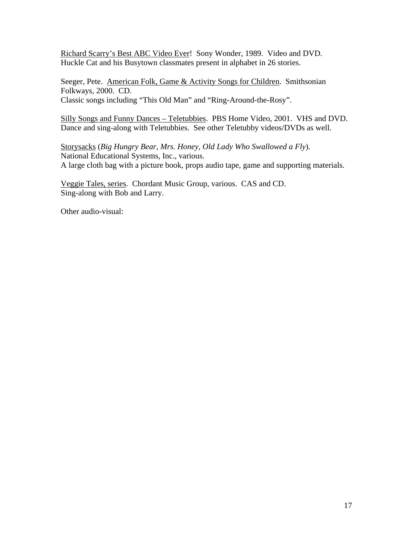Richard Scarry's Best ABC Video Ever! Sony Wonder, 1989. Video and DVD. Huckle Cat and his Busytown classmates present in alphabet in 26 stories.

Seeger, Pete. American Folk, Game & Activity Songs for Children. Smithsonian Folkways, 2000. CD. Classic songs including "This Old Man" and "Ring-Around-the-Rosy".

Silly Songs and Funny Dances – Teletubbies. PBS Home Video, 2001. VHS and DVD. Dance and sing-along with Teletubbies. See other Teletubby videos/DVDs as well.

Storysacks (*Big Hungry Bear, Mrs. Honey, Old Lady Who Swallowed a Fly*). National Educational Systems, Inc., various. A large cloth bag with a picture book, props audio tape, game and supporting materials.

Veggie Tales, series. Chordant Music Group, various. CAS and CD. Sing-along with Bob and Larry.

Other audio-visual: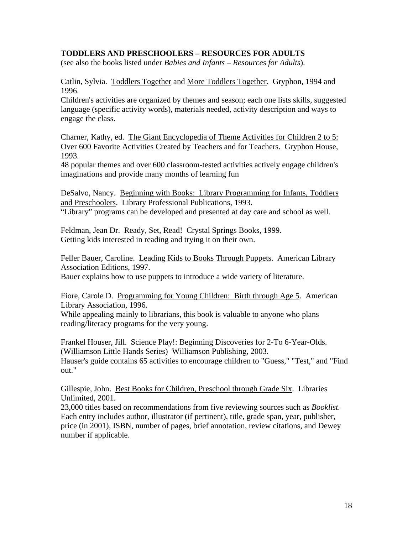## **TODDLERS AND PRESCHOOLERS – RESOURCES FOR ADULTS**

(see also the books listed under *Babies and Infants – Resources for Adults*).

Catlin, Sylvia. Toddlers Together and More Toddlers Together. Gryphon, 1994 and 1996.

Children's activities are organized by themes and season; each one lists skills, suggested language (specific activity words), materials needed, activity description and ways to engage the class.

Charner, Kathy, ed. The Giant Encyclopedia of Theme Activities for Children 2 to 5: Over 600 Favorite Activities Created by Teachers and for Teachers. Gryphon House, 1993.

48 popular themes and over 600 classroom-tested activities actively engage children's imaginations and provide many months of learning fun

DeSalvo, Nancy. Beginning with Books: Library Programming for Infants, Toddlers and Preschoolers. Library Professional Publications, 1993.

"Library" programs can be developed and presented at day care and school as well.

Feldman, Jean Dr. Ready, Set, Read! Crystal Springs Books, 1999. Getting kids interested in reading and trying it on their own.

Feller Bauer, Caroline. Leading Kids to Books Through Puppets. American Library Association Editions, 1997.

Bauer explains how to use puppets to introduce a wide variety of literature.

Fiore, Carole D. Programming for Young Children: Birth through Age 5. American Library Association, 1996.

While appealing mainly to librarians, this book is valuable to anyone who plans reading/literacy programs for the very young.

Frankel Houser, Jill. Science Play!: Beginning Discoveries for 2-To 6-Year-Olds. (Williamson Little Hands Series) Williamson Publishing, 2003. Hauser's guide contains 65 activities to encourage children to "Guess," "Test," and "Find out."

Gillespie, John. Best Books for Children, Preschool through Grade Six. Libraries Unlimited, 2001.

23,000 titles based on recommendations from five reviewing sources such as *Booklist.* Each entry includes author, illustrator (if pertinent), title, grade span, year, publisher, price (in 2001), ISBN, number of pages, brief annotation, review citations, and Dewey number if applicable.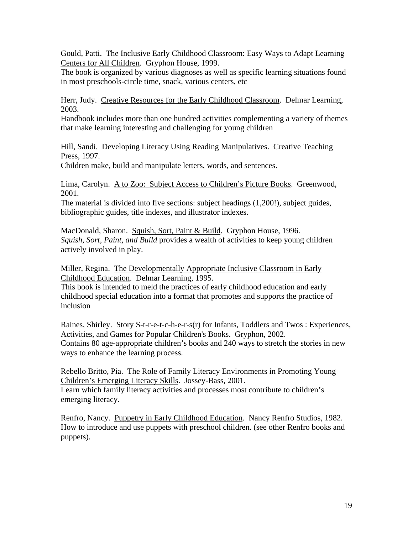Gould, Patti. The Inclusive Early Childhood Classroom: Easy Ways to Adapt Learning Centers for All Children. Gryphon House, 1999.

The book is organized by various diagnoses as well as specific learning situations found in most preschools-circle time, snack, various centers, etc

Herr, Judy. Creative Resources for the Early Childhood Classroom. Delmar Learning, 2003.

Handbook includes more than one hundred activities complementing a variety of themes that make learning interesting and challenging for young children

Hill, Sandi. Developing Literacy Using Reading Manipulatives. Creative Teaching Press, 1997.

Children make, build and manipulate letters, words, and sentences.

Lima, Carolyn. A to Zoo: Subject Access to Children's Picture Books. Greenwood, 2001.

The material is divided into five sections: subject headings (1,200!), subject guides, bibliographic guides, title indexes, and illustrator indexes.

MacDonald, Sharon. Squish, Sort, Paint & Build. Gryphon House, 1996. *Squish, Sort, Paint, and Build* provides a wealth of activities to keep young children actively involved in play.

Miller, Regina. The Developmentally Appropriate Inclusive Classroom in Early Childhood Education. Delmar Learning, 1995.

This book is intended to meld the practices of early childhood education and early childhood special education into a format that promotes and supports the practice of inclusion

Raines, Shirley. Story S-t-r-e-t-c-h-e-r-s(r) for Infants, Toddlers and Twos : Experiences, Activities, and Games for Popular Children's Books. Gryphon, 2002. Contains 80 age-appropriate children's books and 240 ways to stretch the stories in new ways to enhance the learning process.

Rebello Britto, Pia. The Role of Family Literacy Environments in Promoting Young Children's Emerging Literacy Skills. Jossey-Bass, 2001. Learn which family literacy activities and processes most contribute to children's emerging literacy.

Renfro, Nancy. Puppetry in Early Childhood Education. Nancy Renfro Studios, 1982. How to introduce and use puppets with preschool children. (see other Renfro books and puppets).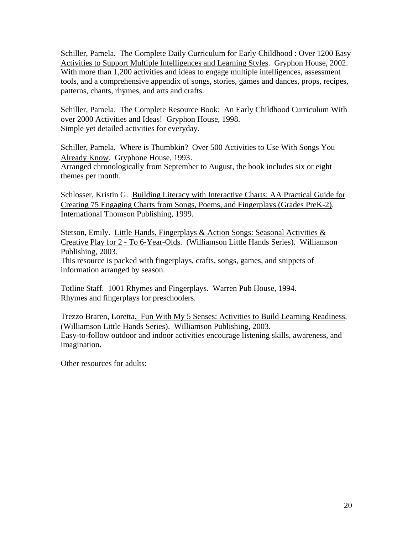Schiller, Pamela. The Complete Daily Curriculum for Early Childhood : Over 1200 Easy Activities to Support Multiple Intelligences and Learning Styles. Gryphon House, 2002. With more than 1,200 activities and ideas to engage multiple intelligences, assessment tools, and a comprehensive appendix of songs, stories, games and dances, props, recipes, patterns, chants, rhymes, and arts and crafts.

Schiller, Pamela. The Complete Resource Book: An Early Childhood Curriculum With over 2000 Activities and Ideas! Gryphon House, 1998. Simple yet detailed activities for everyday.

Schiller, Pamela. Where is Thumbkin? Over 500 Activities to Use With Songs You Already Know. Gryphone House, 1993. Arranged chronologically from September to August, the book includes six or eight themes per month.

Schlosser, Kristin G. Building Literacy with Interactive Charts: AA Practical Guide for Creating 75 Engaging Charts from Songs, Poems, and Fingerplays (Grades PreK-2). International Thomson Publishing, 1999.

Stetson, Emily. Little Hands, Fingerplays & Action Songs: Seasonal Activities & Creative Play for 2 - To 6-Year-Olds. (Williamson Little Hands Series). Williamson Publishing, 2003.

This resource is packed with fingerplays, crafts, songs, games, and snippets of information arranged by season.

Totline Staff. 1001 Rhymes and Fingerplays. Warren Pub House, 1994. Rhymes and fingerplays for preschoolers.

Trezzo Braren, Loretta. Fun With My 5 Senses: Activities to Build Learning Readiness. (Williamson Little Hands Series). Williamson Publishing, 2003. Easy-to-follow outdoor and indoor activities encourage listening skills, awareness, and imagination.

Other resources for adults: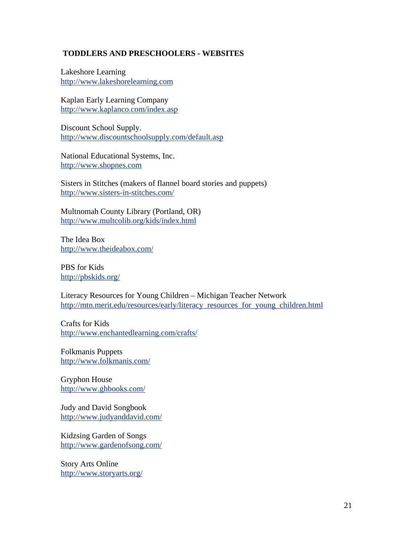# **TODDLERS AND PRESCHOOLERS - WEBSITES**

Lakeshore Learning http://www.lakeshorelearning.com

Kaplan Early Learning Company http://www.kaplanco.com/index.asp

Discount School Supply. http://www.discountschoolsupply.com/default.asp

National Educational Systems, Inc. http://www.shopnes.com

Sisters in Stitches (makers of flannel board stories and puppets) http://www.sisters-in-stitches.com/

Multnomah County Library (Portland, OR) http://www.multcolib.org/kids/index.html

The Idea Box http://www.theideabox.com/

PBS for Kids http://pbskids.org/

Literacy Resources for Young Children – Michigan Teacher Network http://mtn.merit.edu/resources/early/literacy\_resources\_for\_young\_children.html

Crafts for Kids http://www.enchantedlearning.com/crafts/

Folkmanis Puppets http://www.folkmanis.com/

Gryphon House http://www.ghbooks.com/

Judy and David Songbook http://www.judyanddavid.com/

Kidzsing Garden of Songs http://www.gardenofsong.com/

Story Arts Online http://www.storyarts.org/